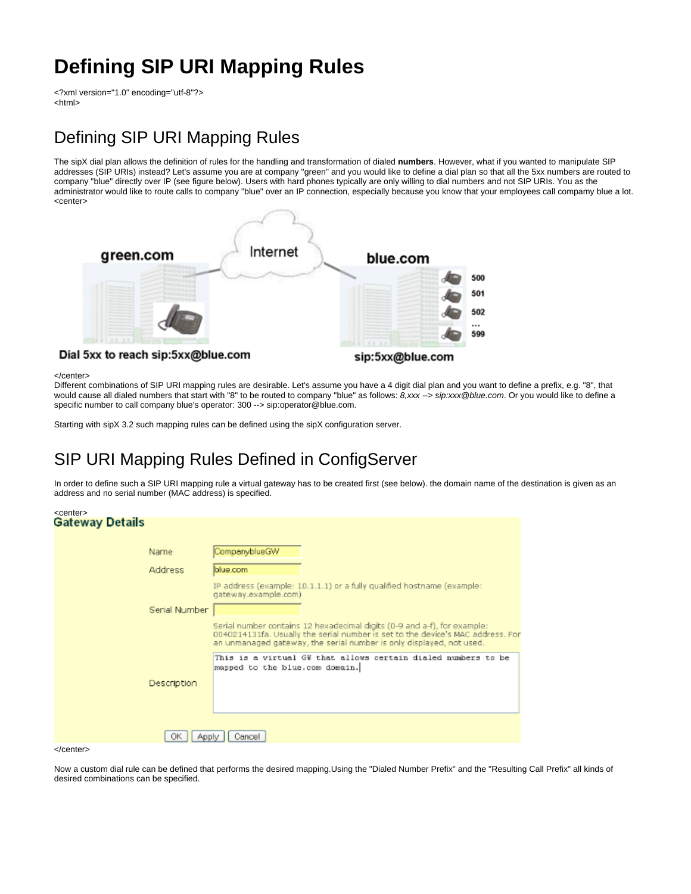# **Defining SIP URI Mapping Rules**

<?xml version="1.0" encoding="utf-8"?> <html>

## Defining SIP URI Mapping Rules

The sipX dial plan allows the definition of rules for the handling and transformation of dialed **numbers**. However, what if you wanted to manipulate SIP addresses (SIP URIs) instead? Let's assume you are at company "green" and you would like to define a dial plan so that all the 5xx numbers are routed to company "blue" directly over IP (see figure below). Users with hard phones typically are only willing to dial numbers and not SIP URIs. You as the administrator would like to route calls to company "blue" over an IP connection, especially because you know that your employees call compamy blue a lot. <center>



</center>

Different combinations of SIP URI mapping rules are desirable. Let's assume you have a 4 digit dial plan and you want to define a prefix, e.g. "8", that would cause all dialed numbers that start with "8" to be routed to company "blue" as follows: 8,xxx --> sip:xxx @blue.com. Or you would like to define a specific number to call company blue's operator: 300 --> sip:operator@blue.com.

Starting with sipX 3.2 such mapping rules can be defined using the sipX configuration server.

## SIP URI Mapping Rules Defined in ConfigServer

In order to define such a SIP URI mapping rule a virtual gateway has to be created first (see below). the domain name of the destination is given as an address and no serial number (MAC address) is specified.

## <center><br>Gateway Details

| Name                      | CompanyblueGW                                                                                                                                                                                                                       |
|---------------------------|-------------------------------------------------------------------------------------------------------------------------------------------------------------------------------------------------------------------------------------|
| Address                   | lblue.com                                                                                                                                                                                                                           |
| Serial Number             | IP address (example: 10.1.1.1) or a fully qualified hostname (example:<br>qateway.example.com)                                                                                                                                      |
|                           | Serial number contains 12 hexadecimal digits (0-9 and a-f), for example:<br>0040214131fa. Usually the serial number is set to the device's MAC address. For<br>an unmanaged gateway, the serial number is only displayed, not used. |
|                           | This is a virtual GW that allows certain dialed numbers to be<br>mapped to the blue.com domain.                                                                                                                                     |
| Description               |                                                                                                                                                                                                                                     |
|                           | Cancel                                                                                                                                                                                                                              |
| $\mathbf{r}$ $\mathbf{r}$ |                                                                                                                                                                                                                                     |

</center>

Now a custom dial rule can be defined that performs the desired mapping.Using the "Dialed Number Prefix" and the "Resulting Call Prefix" all kinds of desired combinations can be specified.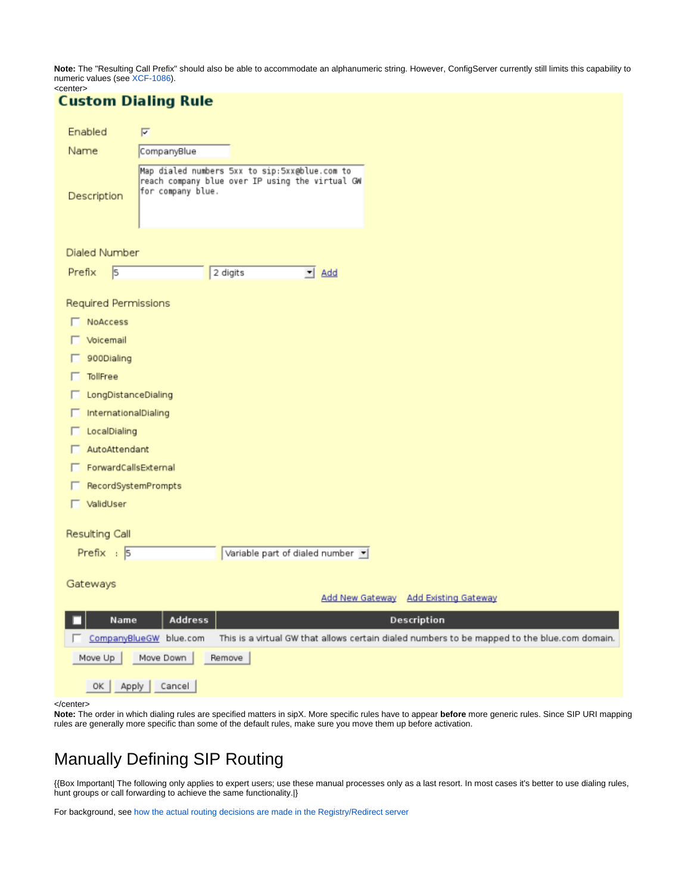**Note:** The "Resulting Call Prefix" should also be able to accommodate an alphanumeric string. However, ConfigServer currently still limits this capability to numeric values (see [XCF-1086](http://track.sipfoundry.org/browse/XCF-1086)).  $<$ C

| <center><br/><b>Custom Dialing Rule</b></center> |                                                                                                                                                         |
|--------------------------------------------------|---------------------------------------------------------------------------------------------------------------------------------------------------------|
|                                                  |                                                                                                                                                         |
| Enabled                                          | $\overline{\triangledown}$                                                                                                                              |
| Name                                             | CompanyBlue                                                                                                                                             |
| Description                                      | Map dialed numbers 5xx to sip:5xx@blue.com to<br>reach company blue over IP using the virtual GW<br>for company blue.                                   |
| <b>Dialed Number</b>                             |                                                                                                                                                         |
| Prefix<br> 5                                     | $\blacktriangleright$ Add<br>2 digits                                                                                                                   |
|                                                  |                                                                                                                                                         |
| Required Permissions                             |                                                                                                                                                         |
| NoAccess<br>п                                    |                                                                                                                                                         |
| Voicemail                                        |                                                                                                                                                         |
| 900Dialing<br>TollFree<br>г                      |                                                                                                                                                         |
| LongDistanceDialing                              |                                                                                                                                                         |
| InternationalDialing                             |                                                                                                                                                         |
| LocalDialing                                     |                                                                                                                                                         |
| AutoAttendant                                    |                                                                                                                                                         |
| ForwardCallsExternal                             |                                                                                                                                                         |
| RecordSystemPrompts<br>п                         |                                                                                                                                                         |
| ValidUser                                        |                                                                                                                                                         |
| <b>Resulting Call</b>                            |                                                                                                                                                         |
| Prefix $ 5$                                      | Variable part of dialed number v                                                                                                                        |
|                                                  |                                                                                                                                                         |
| Gateways                                         | <b>Add New Gateway</b><br><b>Add Existing Gateway</b>                                                                                                   |
|                                                  |                                                                                                                                                         |
| Name                                             | <b>Address</b><br>Description<br>This is a virtual GW that allows certain dialed numbers to be mapped to the blue.com domain.<br>CompanyBlueGW blue.com |
| Move Up                                          | Move Down<br>Remove                                                                                                                                     |
| OK<br>Apply                                      | Cancel                                                                                                                                                  |

#### </center>

**Note:** The order in which dialing rules are specified matters in sipX. More specific rules have to appear **before** more generic rules. Since SIP URI mapping rules are generally more specific than some of the default rules, make sure you move them up before activation.

## Manually Defining SIP Routing

{{Box Important| The following only applies to expert users; use these manual processes only as a last resort. In most cases it's better to use dialing rules, hunt groups or call forwarding to achieve the same functionality.|}

For background, see how the actual routing decisions are made in the Registry/Redirect server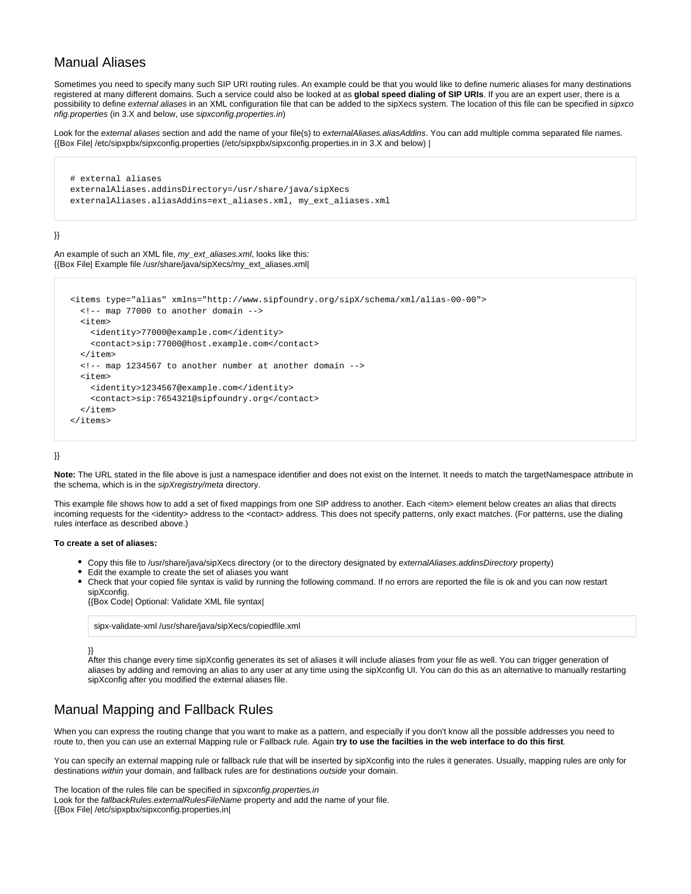### Manual Aliases

Sometimes you need to specify many such SIP URI routing rules. An example could be that you would like to define numeric aliases for many destinations registered at many different domains. Such a service could also be looked at as **global speed dialing of SIP URIs**. If you are an expert user, there is a possibility to define external aliases in an XML configuration file that can be added to the sipXecs system. The location of this file can be specified in sipxco nfig.properties (in 3.X and below, use sipxconfig.properties.in)

Look for the external aliases section and add the name of your file(s) to externalAliases.aliasAddins. You can add multiple comma separated file names. {{Box File| /etc/sipxpbx/sipxconfig.properties (/etc/sipxpbx/sipxconfig.properties.in in 3.X and below) |

```
 # external aliases
 externalAliases.addinsDirectory=/usr/share/java/sipXecs
 externalAliases.aliasAddins=ext_aliases.xml, my_ext_aliases.xml
```
}}

An example of such an XML file,  $my\_ext\_aliases.xml$ , looks like this: {{Box File| Example file /usr/share/java/sipXecs/my\_ext\_aliases.xml|

```
 <items type="alias" xmlns="http://www.sipfoundry.org/sipX/schema/xml/alias-00-00">
  <!-- map 77000 to another domain -->
   <item>
    <identity>77000@example.com</identity>
     <contact>sip:77000@host.example.com</contact>
   </item>
   <!-- map 1234567 to another number at another domain -->
  <item>
     <identity>1234567@example.com</identity>
     <contact>sip:7654321@sipfoundry.org</contact>
 \epsilon/item>
 </items>
```
### }}

**Note:** The URL stated in the file above is just a namespace identifier and does not exist on the Internet. It needs to match the targetNamespace attribute in the schema, which is in the sipXregistry/meta directory.

This example file shows how to add a set of fixed mappings from one SIP address to another. Each <item> element below creates an alias that directs incoming requests for the <identity> address to the <contact> address. This does not specify patterns, only exact matches. (For patterns, use the dialing rules interface as described above.)

### **To create a set of aliases:**

- Copy this file to /usr/share/java/sipXecs directory (or to the directory designated by externalAliases.addinsDirectory property)
- Edit the example to create the set of aliases you want
- Check that your copied file syntax is valid by running the following command. If no errors are reported the file is ok and you can now restart sipXconfig.

{{Box Code| Optional: Validate XML file syntax|

sipx-validate-xml /usr/share/java/sipXecs/copiedfile.xml

}}

After this change every time sipXconfig generates its set of aliases it will include aliases from your file as well. You can trigger generation of aliases by adding and removing an alias to any user at any time using the sipXconfig UI. You can do this as an alternative to manually restarting sipXconfig after you modified the external aliases file.

### Manual Mapping and Fallback Rules

When you can express the routing change that you want to make as a pattern, and especially if you don't know all the possible addresses you need to route to, then you can use an external Mapping rule or Fallback rule. Again **try to use the facilties in the web interface to do this first**.

You can specify an external mapping rule or fallback rule that will be inserted by sipXconfig into the rules it generates. Usually, mapping rules are only for destinations within your domain, and fallback rules are for destinations outside your domain.

The location of the rules file can be specified in sipxconfig.properties.in

Look for the fallbackRules.externalRulesFileName property and add the name of your file. {{Box File| /etc/sipxpbx/sipxconfig.properties.in|